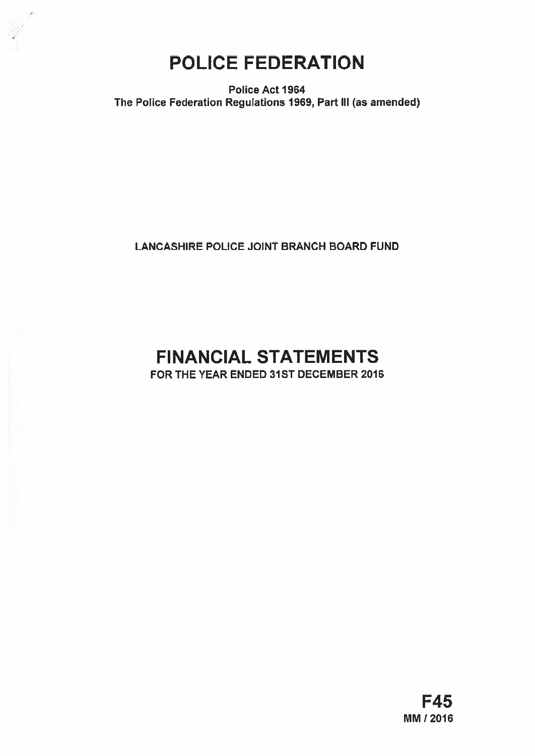

Police Act 1964 The Police Federation Regulations 1969, Part Ill (as amended)

LANCASHIRE POLICE JOINT BRANCH BOARD FUND

# FINANCIAL STATEMENTS

FOR THE YEAR ENDED 31ST DECEMBER 2016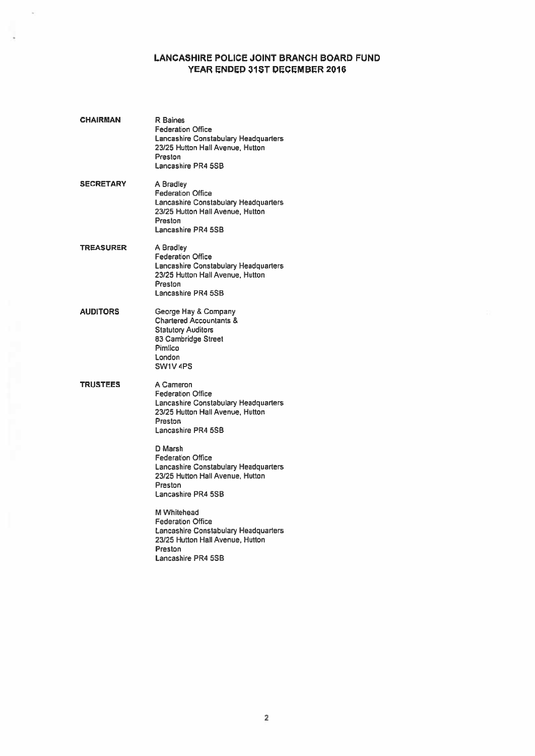# LANCASHIRE POLICE JOINT BRANCH BOARD FUND YEAR ENDED 31ST DECEMBER 2016

| CHAIRMAN         | R Baines<br><b>Federation Office</b><br>Lancashire Constabulary Headquarters<br>23/25 Hutton Hall Avenue, Hutton<br>Preston<br>Lancashire PR4 5SB                                                                                                                                   |
|------------------|-------------------------------------------------------------------------------------------------------------------------------------------------------------------------------------------------------------------------------------------------------------------------------------|
| <b>SECRETARY</b> | A Bradley<br><b>Federation Office</b><br>Lancashire Constabulary Headquarters<br>23/25 Hutton Hall Avenue, Hutton<br>Preston<br>Lancashire PR4 5SB                                                                                                                                  |
| TREASURER        | A Bradley<br><b>Federation Office</b><br>Lancashire Constabulary Headquarters<br>23/25 Hutton Hall Avenue, Hutton<br>Preston<br>Lancashire PR4 5SB                                                                                                                                  |
| AUDITORS         | George Hay & Company<br><b>Chartered Accountants &amp;</b><br><b>Statutory Auditors</b><br>83 Cambridge Street<br>Pimlico<br>London<br>SW1V <sub>4PS</sub>                                                                                                                          |
| TRUSTEES         | A Cameron<br><b>Federation Office</b><br>Lancashire Constabulary Headquarters<br>23/25 Hutton Hall Avenue, Hutton<br><b>Preston</b><br>Lancashire PR4 5SB<br>D Marsh<br><b>Federation Office</b><br><b>Lancashire Constabulary Headquarters</b><br>23/25 Hutton Hall Avenue, Hutton |
|                  | Preston<br>Lancashire PR4 5SB<br>M Whitehead                                                                                                                                                                                                                                        |
|                  | <b>Federation Office</b><br>Lancashire Constabulary Headquarters<br>23/25 Hutton Hall Avenue, Hutton<br>Preston<br>Lancashire PR4 5SB                                                                                                                                               |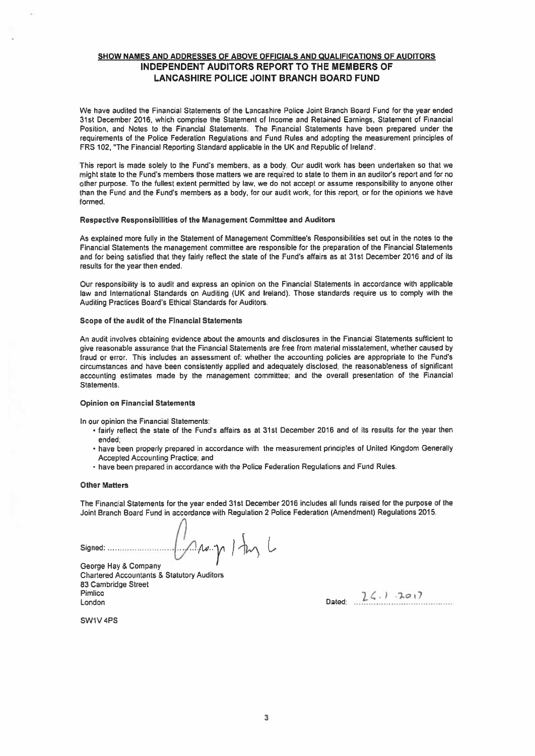# SHOW NAMES AND ADDRESSES OF ABOVE OFFICIALS AND QUALIFICATIONS OF AUDITORS INDEPENDENT AUDITORS REPORT TO THE MEMBERS OF LANCASHIRE POLICE JOINT BRANCH BOARD FUND

We have audited the Financial Statements of the Lancashire Police Joint Branch Board Fund for the year ended 31st December 2016, which comprise the Statement of Income and Retained Earnings, Statement of Financial Position, and Notes to the Financial Statements. The Financial Statements have been prepared under the requirements of the Police Federation Regulations and Fund Rules and adopting the measurement principles of FRS 102, "The Financial Reporting Standard applicable in the UK and Republic of Ireland'.

This repor<sup>t</sup> is made solely to the Fund's members, as <sup>a</sup> body. Our audit work has been undertaken so that we might state to the Fund's members those matters we are required to state to them in an auditor's repor<sup>t</sup> and for no other purpose. To the fullest extent permitted by law, we do not accep<sup>t</sup> or assume responsibility to anyone other than the Fund and the Fund's members as <sup>a</sup> body, for our audit work, for this report, or for the opinions we have formed.

## Respective Responsibilities of the Management Committee and Auditors

As explained more fully in the Statement of Management Committee's Responsibilities set out in the notes to the Financial Statements the managemen<sup>t</sup> committee are responsible for the preparation of the Financial Statements and for being satisfied that they fairly reflect the state of the Fund's affairs as at 31st December 2016 and of its results for the year then ended.

Our responsibility is to audit and express an opinion on the Financial Statements in accordance with applicable law and International Standards on Auditing (UK and Ireland). Those standards require us to comply with the Auditing Practices Board's Ethical Standards for Auditors.

## Scope of the audit of the Financial Statements

An audit involves obtaining evidence about the amounts and disclosures in the Financial Statements sufficient to <sup>g</sup>ive reasonable assurance that the Financial Statements are free from material misstatement, whether caused by fraud or error. This includes an assessment of: whether the accounting policies are appropriate to the Fund's circumstances and have been consistently applied and adequately disclosed; the reasonableness of significant accounting estimates made by the managemen<sup>t</sup> committee; and the overall presentation of the Financial Statements.

#### Opinion on Financial Statements

In our opinion the Financial Statements:

- fairly reflect the state of the Fund's affairs as at 31st December <sup>2016</sup> and of its results for the year then ended;
- have been properly prepare<sup>d</sup> in accordance with the measurement principles of United Kingdom Generally Accepted Accounting Practice; and
- have been prepared in accordance with the Police Federation Regulations and Fund Rules.

# Other Matters

The Financial Statements for the year ended 31st December 2016 includes all funds raised for the purpose of the Joint Branch Board Fund in accordance with Regulation 2 Police Federation (Amendment) Regulations 2015.

Signed:  $\bigcup_{\mathcal{A}} \mathcal{A} \rightarrow \gamma$  /  $\downarrow \gamma$ 

Chartered Accountants & Statutory Auditors 83 Cambridge Street Pimlico  $2\leq 1.201$ 

SW1V 4PS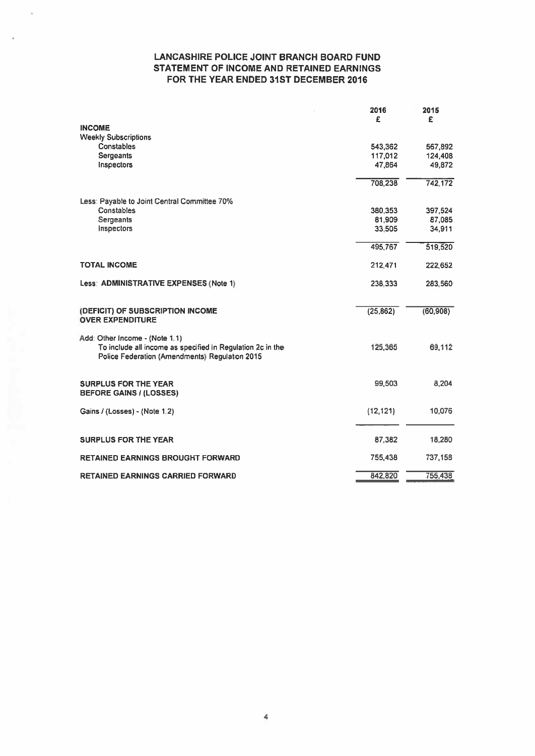# LANCASHIRE POLICE JOINT BRANCH BOARD FUND STATEMENT OF INCOME AND RETAINED EARNINGS FOR THE YEAR ENDED 31ST DECEMBER 2016

|                                                                                                                                                | 2016<br>£ | 2015<br>£ |
|------------------------------------------------------------------------------------------------------------------------------------------------|-----------|-----------|
| <b>INCOME</b>                                                                                                                                  |           |           |
| <b>Weekly Subscriptions</b>                                                                                                                    |           |           |
| <b>Constables</b>                                                                                                                              | 543,362   | 567,892   |
| <b>Sergeants</b>                                                                                                                               | 117,012   | 124,408   |
| Inspectors                                                                                                                                     | 47,864    | 49,872    |
|                                                                                                                                                | 708,238   | 742,172   |
| Less: Payable to Joint Central Committee 70%                                                                                                   |           |           |
| Constables                                                                                                                                     | 380,353   | 397,524   |
| Sergeants                                                                                                                                      | 81,909    | 87,085    |
| Inspectors                                                                                                                                     | 33,505    | 34.911    |
|                                                                                                                                                | 495,767   | 519,520   |
| <b>TOTAL INCOME</b>                                                                                                                            | 212.471   | 222.652   |
| Less: ADMINISTRATIVE EXPENSES (Note 1)                                                                                                         | 238.333   | 283,560   |
| (DEFICIT) OF SUBSCRIPTION INCOME<br><b>OVER EXPENDITURE</b>                                                                                    | (25, 862) | (60, 908) |
| Add: Other Income - (Note 1.1)<br>To include all income as specified in Regulation 2c in the<br>Police Federation (Amendments) Regulation 2015 | 125,365   | 69,112    |
| <b>SURPLUS FOR THE YEAR</b><br><b>BEFORE GAINS / (LOSSES)</b>                                                                                  | 99,503    | 8,204     |
| Gains / (Losses) - (Note 1.2)                                                                                                                  | (12, 121) | 10,076    |
| <b>SURPLUS FOR THE YEAR</b>                                                                                                                    | 87,382    | 18,280    |
| <b>RETAINED EARNINGS BROUGHT FORWARD</b>                                                                                                       | 755,438   | 737,158   |
| <b>RETAINED EARNINGS CARRIED FORWARD</b>                                                                                                       | 842,820   | 755,438   |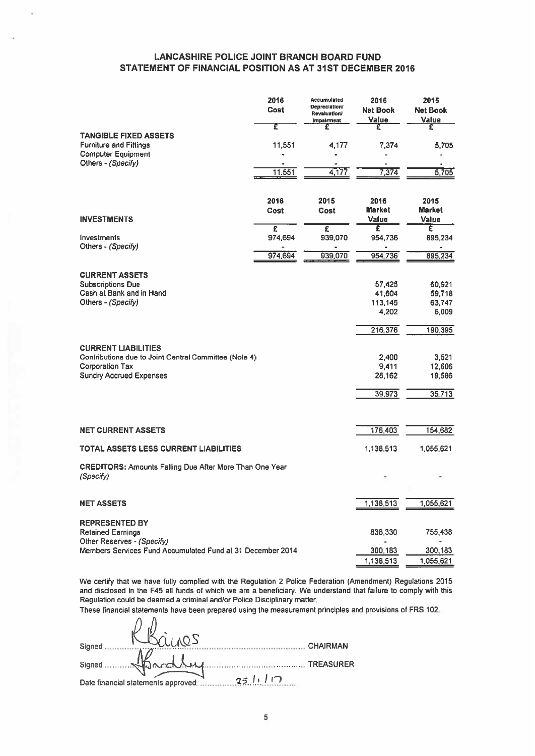# LANCASHIRE POLICE JOINT BRANCH BOARD FUND STATEMENT OF FINANCIAL POSITION AS AT 31ST DECEMBER 2016 Cost Net Book Net Book \_\_\_\_\_\_\_\_\_\_\_\_

| <b>LANCASHIRE POLICE JOINT BRANCH BOARD FUND</b>                                                                                                |              |                                                                                 |                                      |                                       |
|-------------------------------------------------------------------------------------------------------------------------------------------------|--------------|---------------------------------------------------------------------------------|--------------------------------------|---------------------------------------|
| STATEMENT OF FINANCIAL POSITION AS AT 31ST DECEMBER 2016                                                                                        |              |                                                                                 |                                      |                                       |
|                                                                                                                                                 | 2016<br>Cost | <b>Accumulated</b><br>Depreciation/<br><b>Revaluation/</b><br><b>Impairment</b> | 2016<br><b>Net Book</b><br>Value     | 2015<br><b>Net Book</b><br>Value      |
| <b>TANGIBLE FIXED ASSETS</b>                                                                                                                    | τ            | £                                                                               | Ŧ                                    | £                                     |
| <b>Furniture and Fittings</b><br><b>Computer Equipment</b>                                                                                      | 11,551       | 4,177                                                                           | 7,374                                | 5,705                                 |
| Others - (Specify)                                                                                                                              | 11,551       | 4,177                                                                           | 7,374                                | 5,705                                 |
| <b>INVESTMENTS</b>                                                                                                                              | 2016<br>Cost | 2015<br>Cost                                                                    | 2016<br><b>Market</b><br>Value       | 2015<br><b>Market</b><br><b>Value</b> |
| Investments                                                                                                                                     | £<br>974,694 | £<br>939,070                                                                    | £<br>954,736                         | £<br>895,234                          |
| Others - (Specify)                                                                                                                              | 974,694      | 939,070                                                                         | 954,736                              | 895,234                               |
| <b>CURRENT ASSETS</b><br><b>Subscriptions Due</b><br>Cash at Bank and in Hand<br>Others - (Specify)                                             |              |                                                                                 | 57,425<br>41,604<br>113,145<br>4,202 | 60.921<br>59,718<br>63,747<br>6,009   |
|                                                                                                                                                 |              |                                                                                 | 216,376                              | 190,395                               |
| <b>CURRENT LIABILITIES</b><br>Contributions due to Joint Central Committee (Note 4)<br><b>Corporation Tax</b><br><b>Sundry Accrued Expenses</b> |              |                                                                                 | 2,400<br>9,411<br>28,162<br>39,973   | 3,521<br>12,606<br>19,586<br>35,713   |
|                                                                                                                                                 |              |                                                                                 |                                      |                                       |
| <b>NET CURRENT ASSETS</b>                                                                                                                       |              |                                                                                 | 176,403                              | 154,682                               |
| <b>TOTAL ASSETS LESS CURRENT LIABILITIES</b>                                                                                                    |              |                                                                                 | 1,138,513                            | 1,055,621                             |
| <b>CREDITORS: Amounts Falling Due After More Than One Year</b>                                                                                  |              |                                                                                 |                                      |                                       |
| (Specify)                                                                                                                                       |              |                                                                                 |                                      |                                       |
| <b>NET ASSETS</b>                                                                                                                               |              |                                                                                 | 1,138,513                            | 1,055,621                             |
| <b>REPRESENTED BY</b><br><b>Retained Earnings</b><br>Other Reserves - (Specify)                                                                 |              |                                                                                 | 838,330                              | 755,438                               |
| Members Services Fund Accumulated Fund at 31 December 2014                                                                                      |              |                                                                                 | 300,183<br>1,138,513                 | 300,183<br>1,055,621                  |

We certify that we have fully complied with the Regulation 2 Police Federation (Amendment) Regulations 2015 and disclosed in the F45 all funds of which we are <sup>a</sup> beneficiary. We understand that failure to comply with this Regulation could be deemed <sup>a</sup> criminal and/or Police Disciplinary matter.

These financial statements have been prepared using the measurement principles and provisions of FRS 102.

| Signed                                        | <b>CHAIRMAN</b> |
|-----------------------------------------------|-----------------|
|                                               |                 |
| 251.10<br>Date financial statements approved: |                 |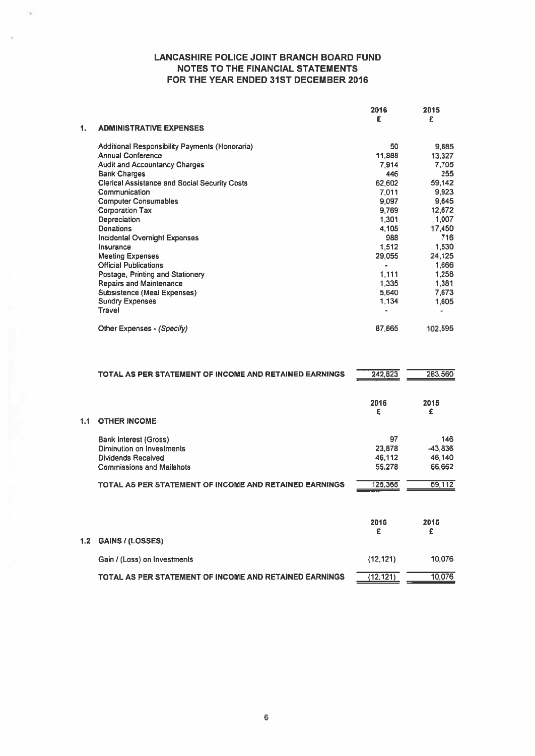|    |                                                      | 2016<br>£ | 2015<br>£ |
|----|------------------------------------------------------|-----------|-----------|
| 1. | <b>ADMINISTRATIVE EXPENSES</b>                       |           |           |
|    | Additional Responsibility Payments (Honoraria)       | 50        | 9,885     |
|    | <b>Annual Conference</b>                             | 11,888    | 13,327    |
|    | <b>Audit and Accountancy Charges</b>                 | 7.914     | 7,705     |
|    | <b>Bank Charges</b>                                  | 446       | 255       |
|    | <b>Clerical Assistance and Social Security Costs</b> | 62,602    | 59,142    |
|    | Communication                                        | 7.011     | 9,923     |
|    | <b>Computer Consumables</b>                          | 9,097     | 9,645     |
|    | <b>Corporation Tax</b>                               | 9,769     | 12,672    |
|    | Depreciation                                         | 1.301     | 1,007     |
|    | <b>Donations</b>                                     | 4,105     | 17,450    |
|    | Incidental Overnight Expenses                        | 988       | 716       |
|    | Insurance                                            | 1,512     | 1,530     |
|    | <b>Meeting Expenses</b>                              | 29,055    | 24,125    |
|    | <b>Official Publications</b>                         | $\bullet$ | 1,666     |
|    | Postage, Printing and Stationery                     | 1,111     | 1,258     |
|    | <b>Repairs and Maintenance</b>                       | 1,335     | 1,381     |
|    | <b>Subsistence (Meal Expenses)</b>                   | 5,640     | 7,673     |
|    | <b>Sundry Expenses</b>                               | 1,134     | 1,605     |
|    | Travel                                               | ٠         |           |
|    | Other Expenses - (Specify)                           | 87,865    | 102,595   |
|    |                                                      |           |           |

|     | TOTAL AS PER STATEMENT OF INCOME AND RETAINED EARNINGS | 242,823          | 283,560             |
|-----|--------------------------------------------------------|------------------|---------------------|
|     |                                                        | 2016<br>£        | 2015<br>£           |
| 1.1 | <b>OTHER INCOME</b>                                    |                  |                     |
|     | <b>Bank Interest (Gross)</b>                           | 97               | 146                 |
|     | Diminution on Investments<br><b>Dividends Received</b> | 23,878           | $-43,836$<br>46,140 |
|     | <b>Commissions and Mailshots</b>                       | 46,112<br>55,278 | 66,662              |
|     |                                                        |                  |                     |
|     | TOTAL AS PER STATEMENT OF INCOME AND RETAINED EARNINGS | 125,365          | 69,112              |
|     |                                                        | 2016<br>£        | 2015<br>£           |
| 1.2 | GAINS / (LOSSES)                                       |                  |                     |
|     | Gain / (Loss) on Investments                           | (12, 121)        | 10,076              |
|     | TOTAL AS PER STATEMENT OF INCOME AND RETAINED EARNINGS | (12, 121)        | 10,076              |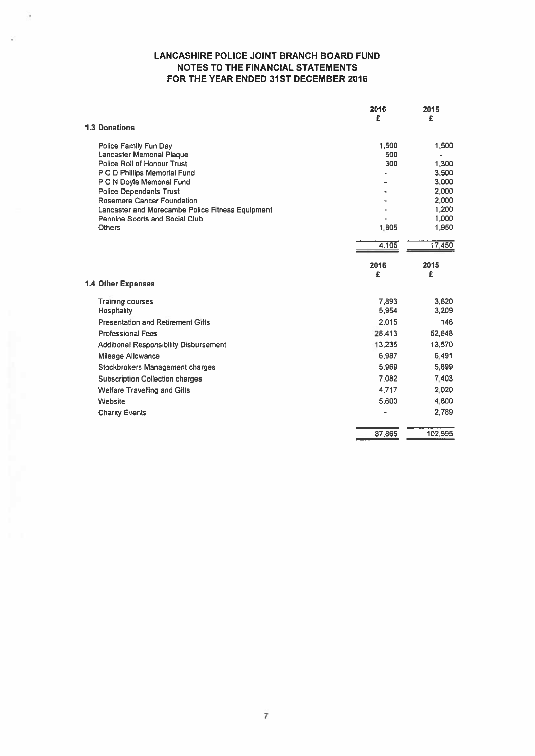|                                                              | 2016<br>£ | 2015<br>£      |
|--------------------------------------------------------------|-----------|----------------|
| <b>1.3 Donations</b>                                         |           |                |
| Police Family Fun Day                                        | 1,500     | 1,500          |
| <b>Lancaster Memorial Plaque</b>                             | 500       |                |
| <b>Police Roll of Honour Trust</b>                           | 300       | 1,300          |
| P C D Phillips Memorial Fund                                 |           | 3,500          |
| P C N Doyle Memorial Fund                                    |           | 3,000          |
| <b>Police Dependants Trust</b><br>Rosemere Cancer Foundation |           | 2,000          |
| Lancaster and Morecambe Police Fitness Equipment             |           | 2,000<br>1,200 |
| Pennine Sports and Social Club                               |           | 1,000          |
| <b>Others</b>                                                | 1,805     | 1,950          |
|                                                              | 4,105     | 17,450         |
|                                                              | 2016      | 2015           |
|                                                              | £         | £              |
| <b>1.4 Other Expenses</b>                                    |           |                |
| <b>Training courses</b>                                      | 7,893     | 3,620          |
| Hospitality                                                  | 5.954     | 3.209          |
| <b>Presentation and Retirement Gifts</b>                     | 2.015     | 146            |
| <b>Professional Fees</b>                                     | 28,413    | 52,648         |
| <b>Additional Responsibility Disbursement</b>                | 13,235    | 13,570         |
| Mileage Allowance                                            | 6.987     | 6.491          |
| Stockbrokers Management charges                              | 5,969     | 5,899          |
| <b>Subscription Collection charges</b>                       | 7.082     | 7.403          |
| <b>Welfare Travelling and Gifts</b>                          | 4,717     | 2,020          |
| Website                                                      | 5,600     | 4,800          |
| <b>Charity Events</b>                                        |           | 2,789          |
|                                                              | 87,865    | 102.595        |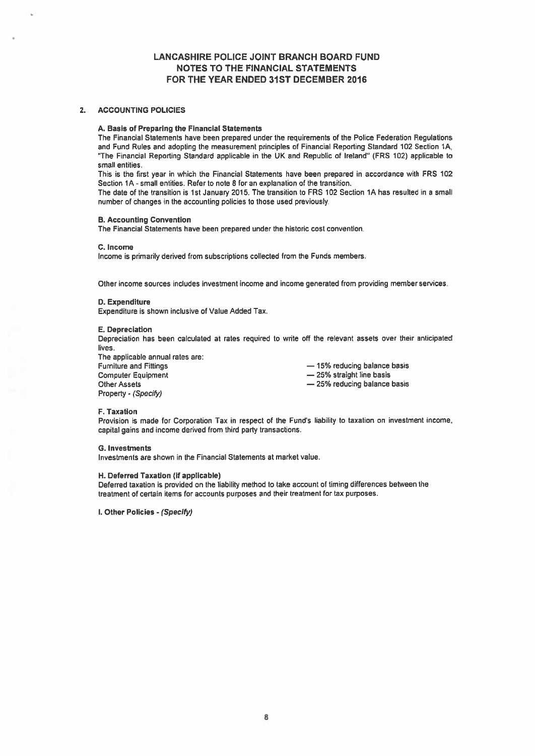# 2. ACCOUNTING POLICIES

#### A. Basis of Preparing the Financial Statements

The Financial Statements have been prepared under the requirements of the Police Federation Regulations and Fund Rules and adopting the measurement principles of Financial Reporting Standard 102 Section 1A, 'The Financial Reporting Standard applicable in the UK and Republic of Ireland" (FRS 102) applicable to small entities.

This is the first year in which the Financial Statements have been prepared in accordance with FRS 102 Section 1A - small entities. Refer to note 8 for an explanation of the transition.

The date of the transition is 1st January 2015. The transition to FRS 102 Section 1A has resulted in <sup>a</sup> small number of changes in the accounting policies to those used previously.

## B. Accounting Convention

The Financial Statements have been prepared under the historic cost convention.

#### C. Income

Income is primarily derived from subscriptions collected from the Funds members.

Other income sources includes investment income and income generated from providing member services.

#### D. Expenditure

Expenditure is shown inclusive of Value Added Tax.

#### E. Depreciation

Depreciation has been calculated at rates required to write off the relevant assets over their anticipated lives.

The applicable annual rates are: Furniture and Fittings — 15% reducing balance basis Computer Equipment **25%** straight line basis Other Assets **Exercise 25% reducing balance basis** — 25% reducing balance basis Property - (Specify)

# F. Taxation

Provision is made for Corporation Tax in respec<sup>t</sup> of the Fund's liability to taxation on investment income, capital gains and income derived from third party transactions.

#### S. Investments

Investments are shown in the Financial Statements at market value.

#### H. Deferred Taxation (if applicable)

Deferred taxation is provided on the liability method to take account of timing differences between the treatment of certain items for accounts purposes and their treatment for tax purposes.

I. Other Policies - (Specify)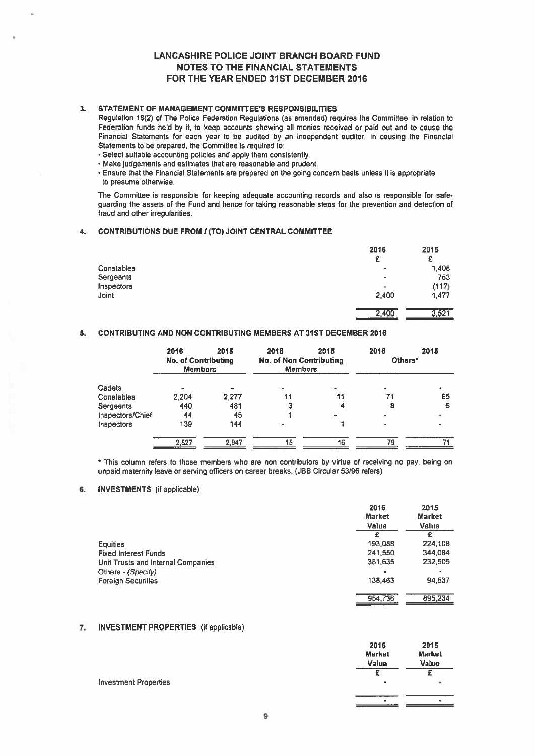# 3. STATEMENT OF MANAGEMENT COMMITTEE'S RESPONSIBILITIES

Regulation 18(2) of The Police Federation Regulations (as amended) requires the Committee, in relation to Federation funds held by it, to keep accounts showing all monies received or paid out and to cause the Financial Statements for each year to be audited by an independent auditor. In causing the Financial Statements to be prepared, the Committee is required to:

- Select suitable accounting policies and apply them consistently.
- Make judgements and estimates that are reasonable and prudent.
- Ensure that the Financial Statements are prepared on the going concern basis unless it is appropriate to presume otherwise.

The Committee is responsible for keeping adequate accounting records and also is responsible for safe guarding the assets of the Fund and hence for taking reasonable steps for the prevention and detection of fraud and other irregularities.

# 4. CONTRIBUTIONS DUE FROM / (TO) JOINT CENTRAL COMMITTEE

|            | 2016                     | 2015  |
|------------|--------------------------|-------|
|            | £                        | £     |
| Constables | $\overline{\phantom{a}}$ | 1,408 |
| Sergeants  | $\bullet$                | 753   |
| Inspectors | ٠                        | (117) |
| Joint      | 2,400                    | 1,477 |
|            | 2,400                    | 3,521 |

# 5. CONTRIBUTING AND NON CONTRIBUTING MEMBERS AT 31ST DECEMBER 2016

|                  | 2016<br><b>No. of Contributing</b><br><b>Members</b> | 2015  | 2016<br><b>No. of Non Contributing</b><br><b>Members</b> | 2015 | 2016<br>Others* | 2015 |
|------------------|------------------------------------------------------|-------|----------------------------------------------------------|------|-----------------|------|
| Cadets           |                                                      |       |                                                          |      |                 |      |
| Constables       | 2,204                                                | 2.277 | 11                                                       | 11   | 71              | 65   |
| Sergeants        | 440                                                  | 481   | 3                                                        |      | 8               | 6    |
| Inspectors/Chief | 44                                                   | 45    |                                                          |      |                 |      |
| Inspectors       | 139                                                  | 144   |                                                          |      |                 |      |
|                  | 2.827                                                | 2.947 | 15                                                       | 16   | 79              | 71   |
|                  |                                                      |       |                                                          |      |                 |      |

This column refers to those members who are non contributors by virtue of receiving no pay, being on unpaid maternity leave or serving officers on career breaks. (JBB Circular 53/96 refers)

# 6. INVESTMENTS (if applicable)

|                                    | 2016<br><b>Market</b><br>Value | 2015<br><b>Market</b><br>Value |
|------------------------------------|--------------------------------|--------------------------------|
|                                    |                                | £                              |
| <b>Equities</b>                    | 193,088                        | 224,108                        |
| <b>Fixed Interest Funds</b>        | 241,550                        | 344.084                        |
| Unit Trusts and Internal Companies | 381,635                        | 232,505                        |
| Others - (Specify)                 | $\bullet$                      |                                |
| <b>Foreign Securities</b>          | 138.463                        | 94.537                         |
|                                    | 954.736                        | 895,234                        |

# 7. INVESTMENT PROPERTIES (if applicable)

|                              | 2016          | 2015          |
|------------------------------|---------------|---------------|
|                              | <b>Market</b> | <b>Market</b> |
|                              | Value         | Value         |
|                              |               |               |
| <b>Investment Properties</b> | $\bullet$     | ×             |
|                              |               |               |
|                              | $\bullet$     |               |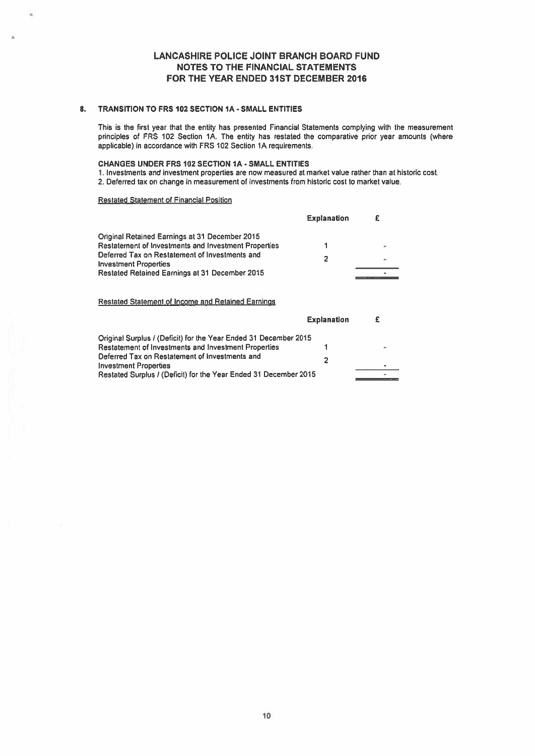# 8. TRANSITION TO FRS 102 SECTION IA - SMALL ENTITIES

This is the first year that the entity has presented Financial Statements complying with the measurement principles of FRS 102 Section 1A. The entity has restated the comparative prior year amounts (where applicable) in accordance with FRS 102 Section 1A requirements.

# CHANGES UNDER FRS 102 SECTION IA - SMALL ENTITIES

- 1. Investments and investment properties are now measured at market value rather than at historic cost.
- 2. Deferred tax on change in measurement of investments from historic cost to market value.

# Restated Statement of Financial Position

ù.

|                                                                                | <b>Explanation</b> |  |
|--------------------------------------------------------------------------------|--------------------|--|
| Original Retained Earnings at 31 December 2015                                 |                    |  |
| Restatement of Investments and Investment Properties                           |                    |  |
| Deferred Tax on Restatement of Investments and<br><b>Investment Properties</b> | 2                  |  |
| Restated Retained Earnings at 31 December 2015                                 |                    |  |

# Restated Statement of Income and Retained Earnings

|                                                                  | <b>Explanation</b> |           |
|------------------------------------------------------------------|--------------------|-----------|
| Original Surplus / (Deficit) for the Year Ended 31 December 2015 |                    |           |
| <b>Restatement of Investments and Investment Properties</b>      |                    | $\sim$    |
| Deferred Tax on Restatement of Investments and                   |                    |           |
| <b>Investment Properties</b>                                     |                    | $\bullet$ |
| Restated Surplus / (Deficit) for the Year Ended 31 December 2015 |                    |           |